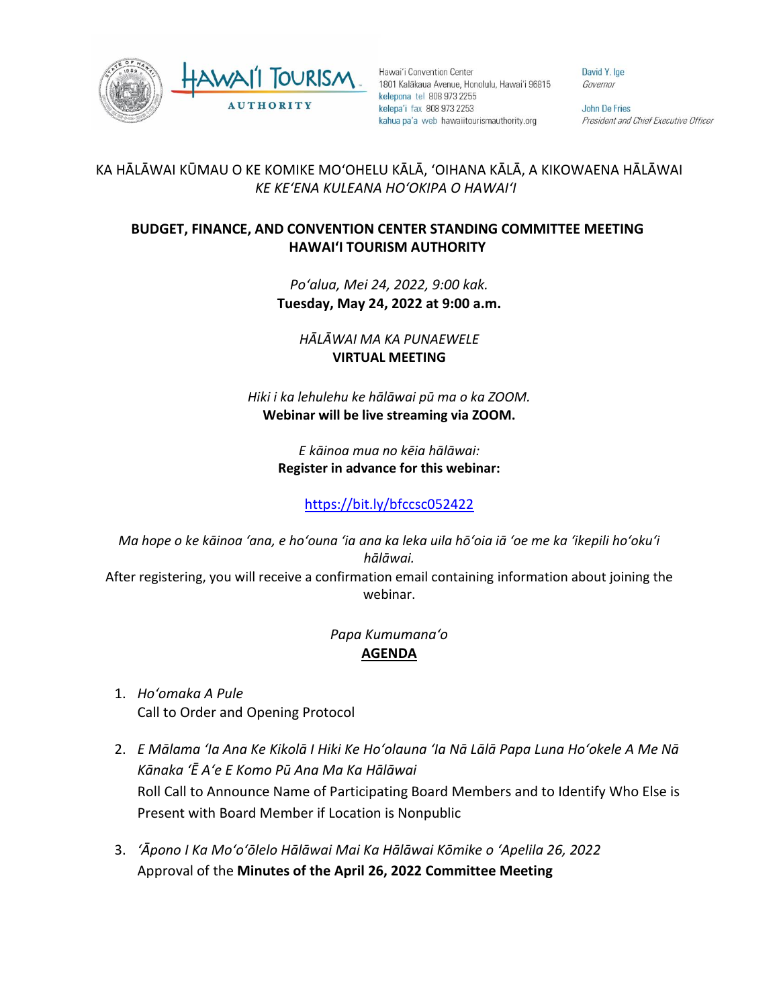



Hawai'i Convention Center 1801 Kalākaua Avenue, Honolulu, Hawai'i 96815 kelepona tel 808 973 2255 kelepa'i fax 808 973 2253 kahua pa'a web hawaiitourismauthority.org

David Y. Ige Governor

**John De Fries** President and Chief Executive Officer

## KA HĀLĀWAI KŪMAU O KE KOMIKE MOʻOHELU KĀLĀ, ʻOIHANA KĀLĀ, A KIKOWAENA HĀLĀWAI *KE KEʻENA KULEANA HOʻOKIPA O HAWAIʻI*

## **BUDGET, FINANCE, AND CONVENTION CENTER STANDING COMMITTEE MEETING HAWAI'I TOURISM AUTHORITY**

*Poʻalua, Mei 24, 2022, 9:00 kak.* **Tuesday, May 24, 2022 at 9:00 a.m.**

*HĀLĀWAI MA KA PUNAEWELE* **VIRTUAL MEETING**

*Hiki i ka lehulehu ke hālāwai pū ma o ka ZOOM.*  **Webinar will be live streaming via ZOOM.**

> *E kāinoa mua no kēia hālāwai:* **Register in advance for this webinar:**

> > <https://bit.ly/bfccsc052422>

*Ma hope o ke kāinoa ʻana, e hoʻouna ʻia ana ka leka uila hōʻoia iā ʻoe me ka ʻikepili hoʻokuʻi hālāwai.* After registering, you will receive a confirmation email containing information about joining the webinar.

## *Papa Kumumanaʻo* **AGENDA**

- 1. *Hoʻomaka A Pule* Call to Order and Opening Protocol
- 2. *E Mālama ʻIa Ana Ke Kikolā I Hiki Ke Hoʻolauna ʻIa Nā Lālā Papa Luna Hoʻokele A Me Nā Kānaka ʻĒ Aʻe E Komo Pū Ana Ma Ka Hālāwai* Roll Call to Announce Name of Participating Board Members and to Identify Who Else is Present with Board Member if Location is Nonpublic
- 3. *ʻĀpono I Ka Moʻoʻōlelo Hālāwai Mai Ka Hālāwai Kōmike o ʻApelila 26, 2022* Approval of the **Minutes of the April 26, 2022 Committee Meeting**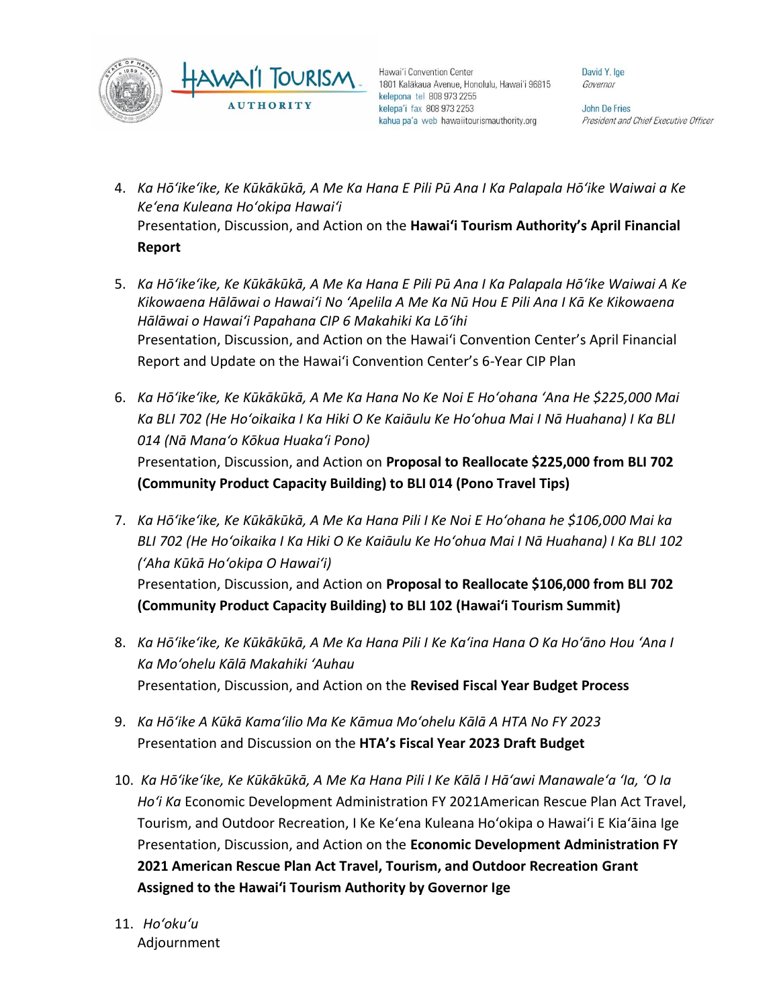



Hawai'i Convention Center 1801 Kalākaua Avenue, Honolulu, Hawai'i 96815 kelepona tel 808 973 2255 kelepa'i fax 808 973 2253 kahua pa'a web hawaiitourismauthority.org

David Y. Ige Governor

John De Fries President and Chief Executive Officer

- 4. *Ka Hōʻikeʻike, Ke Kūkākūkā, A Me Ka Hana E Pili Pū Ana I Ka Palapala Hōʻike Waiwai a Ke Keʻena Kuleana Hoʻokipa Hawaiʻi* Presentation, Discussion, and Action on the **Hawai'i Tourism Authority's April Financial Report**
- 5. *Ka Hōʻikeʻike, Ke Kūkākūkā, A Me Ka Hana E Pili Pū Ana I Ka Palapala Hōʻike Waiwai A Ke Kikowaena Hālāwai o Hawaiʻi No ʻApelila A Me Ka Nū Hou E Pili Ana I Kā Ke Kikowaena Hālāwai o Hawaiʻi Papahana CIP 6 Makahiki Ka Lōʻihi* Presentation, Discussion, and Action on the Hawai'i Convention Center's April Financial Report and Update on the Hawai'i Convention Center's 6-Year CIP Plan
- 6. *Ka Hōʻikeʻike, Ke Kūkākūkā, A Me Ka Hana No Ke Noi E Hoʻohana ʻAna He \$225,000 Mai Ka BLI 702 (He Hoʻoikaika I Ka Hiki O Ke Kaiāulu Ke Hoʻohua Mai I Nā Huahana) I Ka BLI 014 (Nā Manaʻo Kōkua Huakaʻi Pono)* Presentation, Discussion, and Action on **Proposal to Reallocate \$225,000 from BLI 702 (Community Product Capacity Building) to BLI 014 (Pono Travel Tips)**
- 7. *Ka Hōʻikeʻike, Ke Kūkākūkā, A Me Ka Hana Pili I Ke Noi E Hoʻohana he \$106,000 Mai ka BLI 702 (He Hoʻoikaika I Ka Hiki O Ke Kaiāulu Ke Hoʻohua Mai I Nā Huahana) I Ka BLI 102 (ʻAha Kūkā Hoʻokipa O Hawaiʻi)* Presentation, Discussion, and Action on **Proposal to Reallocate \$106,000 from BLI 702 (Community Product Capacity Building) to BLI 102 (Hawai'i Tourism Summit)**
- 8. *Ka Hōʻikeʻike, Ke Kūkākūkā, A Me Ka Hana Pili I Ke Kaʻina Hana O Ka Hoʻāno Hou ʻAna I Ka Moʻohelu Kālā Makahiki ʻAuhau* Presentation, Discussion, and Action on the **Revised Fiscal Year Budget Process**
- 9. *Ka Hōʻike A Kūkā Kamaʻilio Ma Ke Kāmua Moʻohelu Kālā A HTA No FY 2023*  Presentation and Discussion on the **HTA's Fiscal Year 2023 Draft Budget**
- 10. *Ka Hōʻikeʻike, Ke Kūkākūkā, A Me Ka Hana Pili I Ke Kālā I Hāʻawi Manawaleʻa ʻIa, ʻO Ia Hoʻi Ka* Economic Development Administration FY 2021American Rescue Plan Act Travel, Tourism, and Outdoor Recreation, I Ke Keʻena Kuleana Hoʻokipa o Hawaiʻi E Kiaʻāina Ige Presentation, Discussion, and Action on the **Economic Development Administration FY 2021 American Rescue Plan Act Travel, Tourism, and Outdoor Recreation Grant Assigned to the Hawai'i Tourism Authority by Governor Ige**
- 11. *Hoʻokuʻu* Adjournment